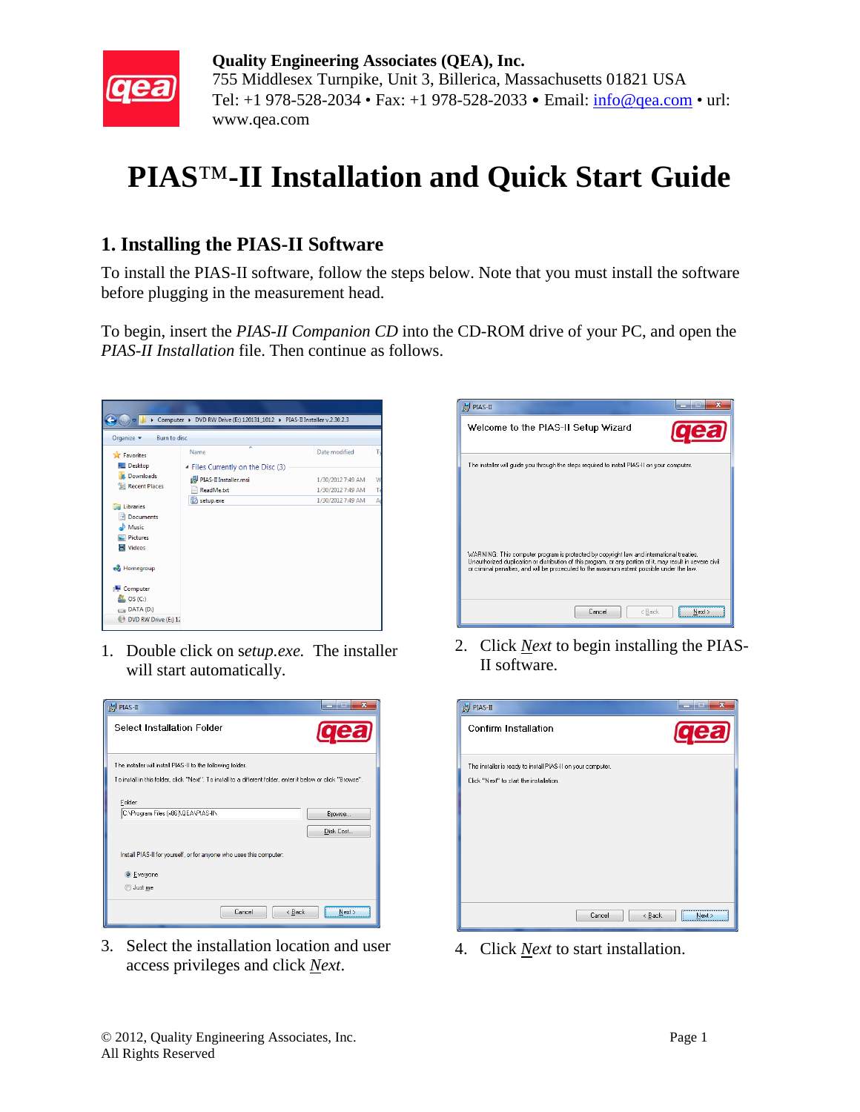

**Quality Engineering Associates (QEA), Inc.** 755 Middlesex Turnpike, Unit 3, Billerica, Massachusetts 01821 USA Tel: +1 978-528-2034 • Fax: +1 978-528-2033 • Email:  $\frac{\text{info@qea.com}}{\text{info@qea.com}}$  • url: www.qea.com

## **PIAS**™**-II Installation and Quick Start Guide**

## **1. Installing the PIAS-II Software**

To install the PIAS-II software, follow the steps below. Note that you must install the software before plugging in the measurement head.

To begin, insert the *PIAS-II Companion CD* into the CD-ROM drive of your PC, and open the *PIAS-II Installation* file. Then continue as follows.



1. Double click on s*etup.exe.* The installer will start automatically.



3. Select the installation location and user Select the installation location and user 4. Click *Next* to start installation.<br>access privileges and click *Next*.



2. Click *Next* to begin installing the PIAS-II software.

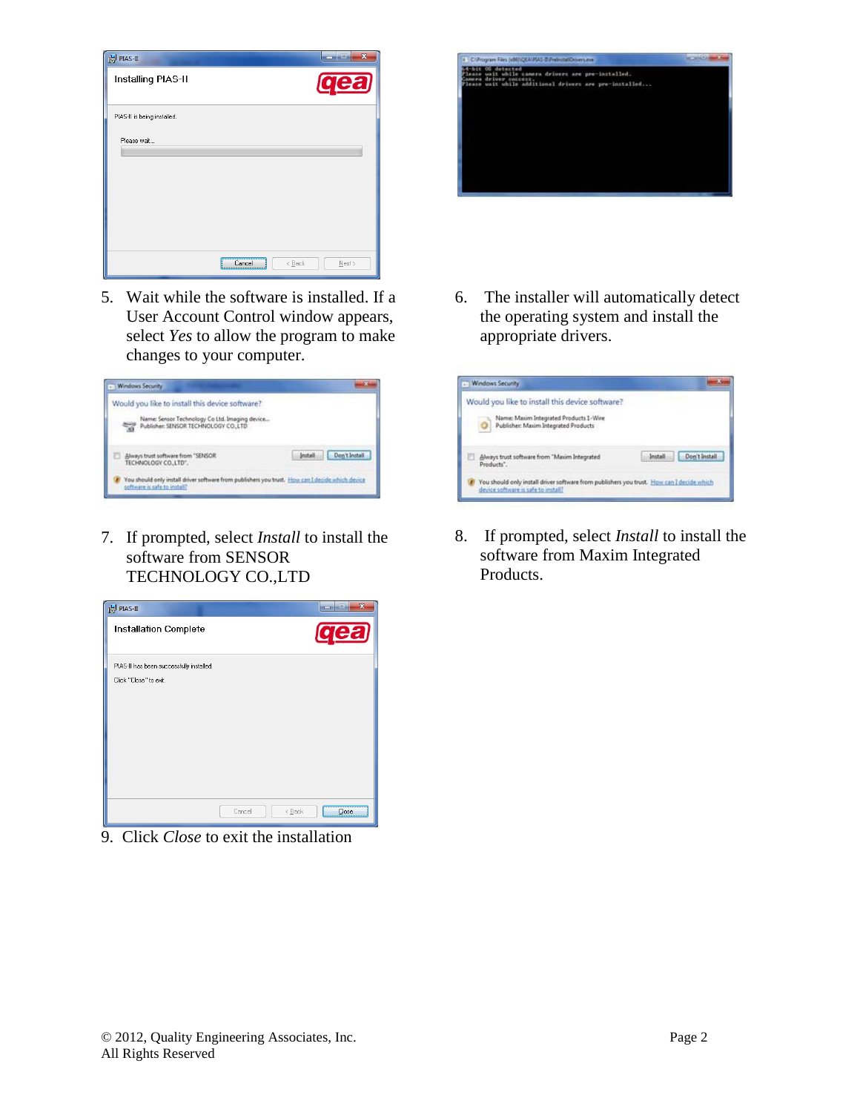| <b>H</b> PIAS-II            |                       | ×<br>m<br>- |
|-----------------------------|-----------------------|-------------|
| Installing PIAS-II          |                       | <b>gea</b>  |
| PIAS-II is being installed. |                       |             |
| Please wait                 |                       |             |
|                             | Cancel<br>$\leq$ Back | $N$ ext >   |

5. Wait while the software is installed. If a User Account Control window appears, select *Yes* to allow the program to make changes to your computer.



7. If prompted, select *Install* to install the software from SENSOR TECHNOLOGY CO.,LTD



9. Click *Close* to exit the installation



6. The installer will automatically detect the operating system and install the appropriate drivers.



8. If prompted, select *Install* to install the software from Maxim Integrated Products.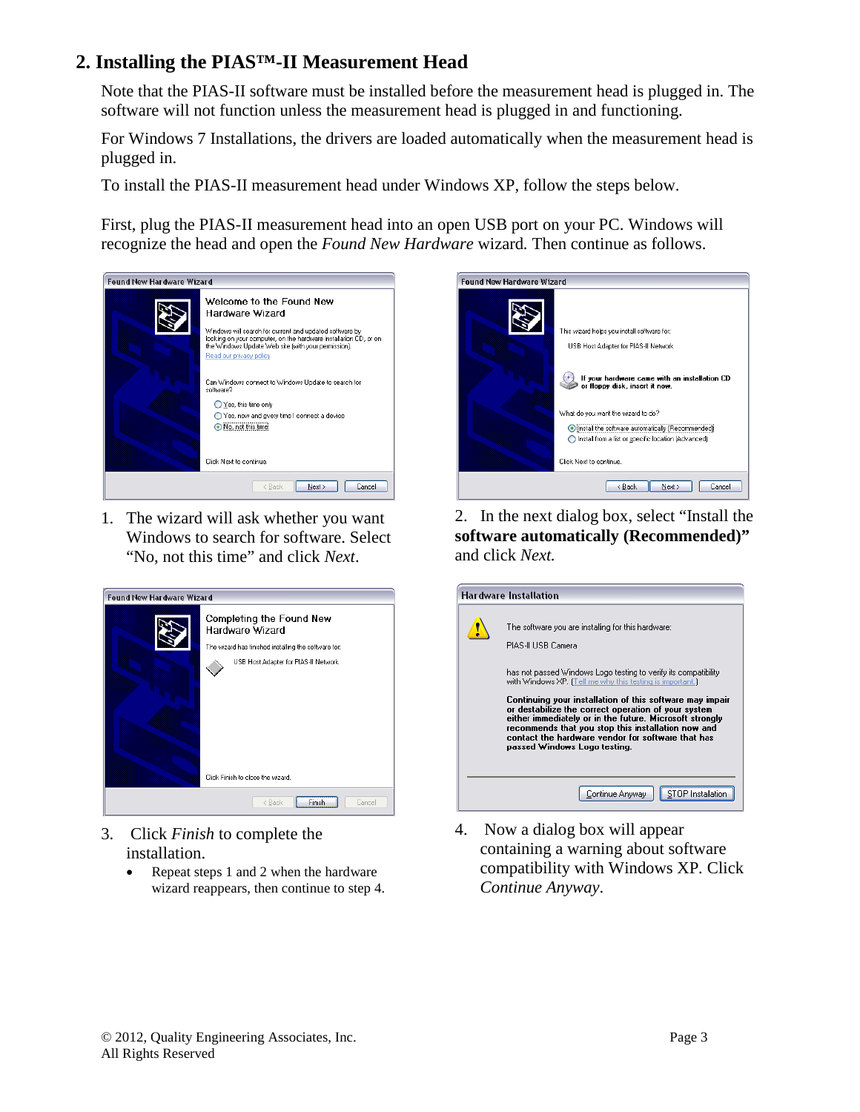## **2. Installing the PIAS™-II Measurement Head**

Note that the PIAS-II software must be installed before the measurement head is plugged in. The software will not function unless the measurement head is plugged in and functioning.

For Windows 7 Installations, the drivers are loaded automatically when the measurement head is plugged in.

To install the PIAS-II measurement head under Windows XP, follow the steps below.

First, plug the PIAS-II measurement head into an open USB port on your PC. Windows will recognize the head and open the *Found New Hardware* wizard*.* Then continue as follows.



1. The wizard will ask whether you want Windows to search for software. Select "No, not this time" and click *Next*.



- 3. Click *Finish* to complete the installation.
	- Repeat steps 1 and 2 when the hardware wizard reappears, then continue to step 4.



2. In the next dialog box, select "Install the **software automatically (Recommended)"**  and click *Next.*

| <b>Hardware Installation</b> |                                                                                                                                                                                                                                                                                                                                                                                                                                                                                                                                   |  |
|------------------------------|-----------------------------------------------------------------------------------------------------------------------------------------------------------------------------------------------------------------------------------------------------------------------------------------------------------------------------------------------------------------------------------------------------------------------------------------------------------------------------------------------------------------------------------|--|
|                              | The software you are installing for this hardware:<br>PIAS-II USB Camera<br>has not passed Windows Logo testing to verify its compatibility<br>with Windows XP. [Tell me why this testing is important.]<br>Continuing your installation of this software may impair<br>or destabilize the correct operation of your system<br>either immediately or in the future. Microsoft strongly<br>recommends that you stop this installation now and<br>contact the hardware vendor for software that has<br>passed Windows Logo testing. |  |
|                              | Continue Anyway                                                                                                                                                                                                                                                                                                                                                                                                                                                                                                                   |  |

4. Now a dialog box will appear containing a warning about software compatibility with Windows XP*.* Click *Continue Anyway*.